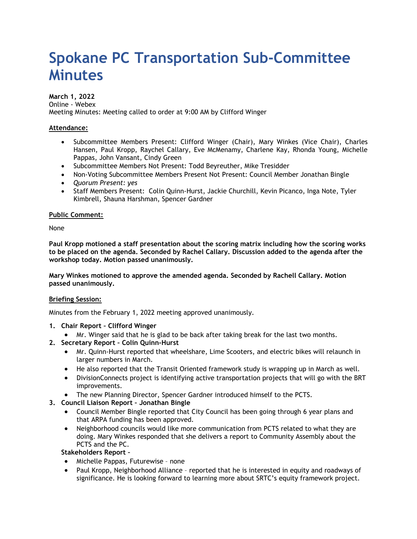# **Spokane PC Transportation Sub-Committee Minutes**

**March 1, 2022** Online - Webex Meeting Minutes: Meeting called to order at 9:00 AM by Clifford Winger

## **Attendance:**

- Subcommittee Members Present: Clifford Winger (Chair), Mary Winkes (Vice Chair), Charles Hansen, Paul Kropp, Raychel Callary, Eve McMenamy, Charlene Kay, Rhonda Young, Michelle Pappas, John Vansant, Cindy Green
- Subcommittee Members Not Present: Todd Beyreuther, Mike Tresidder
- Non-Voting Subcommittee Members Present Not Present: Council Member Jonathan Bingle
- *Quorum Present: yes*
- Staff Members Present: Colin Quinn-Hurst, Jackie Churchill, Kevin Picanco, Inga Note, Tyler Kimbrell, Shauna Harshman, Spencer Gardner

### **Public Comment:**

None

**Paul Kropp motioned a staff presentation about the scoring matrix including how the scoring works to be placed on the agenda. Seconded by Rachel Callary. Discussion added to the agenda after the workshop today. Motion passed unanimously.**

**Mary Winkes motioned to approve the amended agenda. Seconded by Rachell Callary. Motion passed unanimously.** 

### **Briefing Session:**

Minutes from the February 1, 2022 meeting approved unanimously.

- **1. Chair Report – Clifford Winger**
	- Mr. Winger said that he is glad to be back after taking break for the last two months.
- **2. Secretary Report – Colin Quinn-Hurst**
	- Mr. Quinn-Hurst reported that wheelshare, Lime Scooters, and electric bikes will relaunch in larger numbers in March.
	- He also reported that the Transit Oriented framework study is wrapping up in March as well.
	- DivisionConnects project is identifying active transportation projects that will go with the BRT improvements.
	- The new Planning Director, Spencer Gardner introduced himself to the PCTS.

# **3. Council Liaison Report – Jonathan Bingle**

- Council Member Bingle reported that City Council has been going through 6 year plans and that ARPA funding has been approved.
- Neighborhood councils would like more communication from PCTS related to what they are doing. Mary Winkes responded that she delivers a report to Community Assembly about the PCTS and the PC.

# **Stakeholders Report –**

- Michelle Pappas, Futurewise none
- Paul Kropp, Neighborhood Alliance reported that he is interested in equity and roadways of significance. He is looking forward to learning more about SRTC's equity framework project.